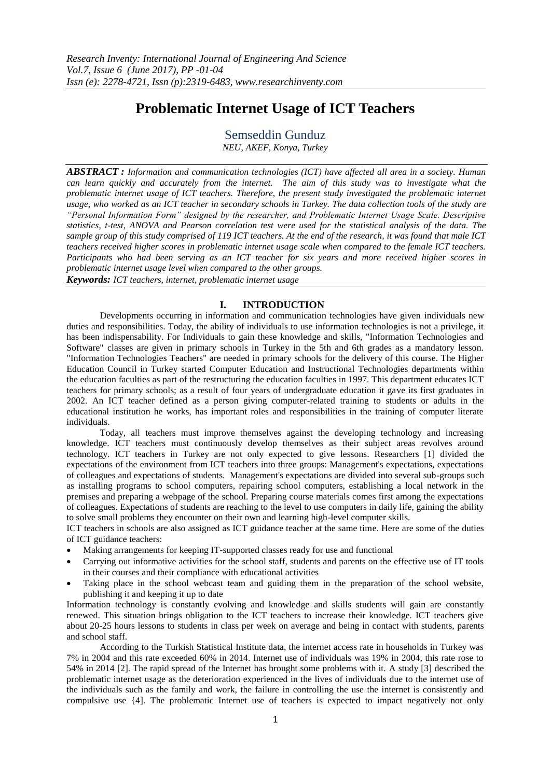# **Problematic Internet Usage of ICT Teachers**

Semseddin Gunduz *NEU, AKEF, Konya, Turkey*

*ABSTRACT : Information and communication technologies (ICT) have affected all area in a society. Human can learn quickly and accurately from the internet. The aim of this study was to investigate what the problematic internet usage of ICT teachers. Therefore, the present study investigated the problematic internet usage, who worked as an ICT teacher in secondary schools in Turkey. The data collection tools of the study are "Personal Information Form" designed by the researcher, and Problematic Internet Usage Scale. Descriptive statistics, t-test, ANOVA and Pearson correlation test were used for the statistical analysis of the data. The sample group of this study comprised of 119 ICT teachers. At the end of the research, it was found that male ICT teachers received higher scores in problematic internet usage scale when compared to the female ICT teachers. Participants who had been serving as an ICT teacher for six years and more received higher scores in problematic internet usage level when compared to the other groups.*

*Keywords: ICT teachers, internet, problematic internet usage*

## **I. INTRODUCTION**

Developments occurring in information and communication technologies have given individuals new duties and responsibilities. Today, the ability of individuals to use information technologies is not a privilege, it has been indispensability. For Individuals to gain these knowledge and skills, "Information Technologies and Software" classes are given in primary schools in Turkey in the 5th and 6th grades as a mandatory lesson. "Information Technologies Teachers" are needed in primary schools for the delivery of this course. The Higher Education Council in Turkey started Computer Education and Instructional Technologies departments within the education faculties as part of the restructuring the education faculties in 1997. This department educates ICT teachers for primary schools; as a result of four years of undergraduate education it gave its first graduates in 2002. An ICT teacher defined as a person giving computer-related training to students or adults in the educational institution he works, has important roles and responsibilities in the training of computer literate individuals.

Today, all teachers must improve themselves against the developing technology and increasing knowledge. ICT teachers must continuously develop themselves as their subject areas revolves around technology. ICT teachers in Turkey are not only expected to give lessons. Researchers [1] divided the expectations of the environment from ICT teachers into three groups: Management's expectations, expectations of colleagues and expectations of students. Management's expectations are divided into several sub-groups such as installing programs to school computers, repairing school computers, establishing a local network in the premises and preparing a webpage of the school. Preparing course materials comes first among the expectations of colleagues. Expectations of students are reaching to the level to use computers in daily life, gaining the ability to solve small problems they encounter on their own and learning high-level computer skills.

ICT teachers in schools are also assigned as ICT guidance teacher at the same time. Here are some of the duties of ICT guidance teachers:

- Making arrangements for keeping IT-supported classes ready for use and functional
- Carrying out informative activities for the school staff, students and parents on the effective use of IT tools in their courses and their compliance with educational activities
- Taking place in the school webcast team and guiding them in the preparation of the school website, publishing it and keeping it up to date

Information technology is constantly evolving and knowledge and skills students will gain are constantly renewed. This situation brings obligation to the ICT teachers to increase their knowledge. ICT teachers give about 20-25 hours lessons to students in class per week on average and being in contact with students, parents and school staff.

According to the Turkish Statistical Institute data, the internet access rate in households in Turkey was 7% in 2004 and this rate exceeded 60% in 2014. Internet use of individuals was 19% in 2004, this rate rose to 54% in 2014 [2]. The rapid spread of the Internet has brought some problems with it. A study [3] described the problematic internet usage as the deterioration experienced in the lives of individuals due to the internet use of the individuals such as the family and work, the failure in controlling the use the internet is consistently and compulsive use {4]. The problematic Internet use of teachers is expected to impact negatively not only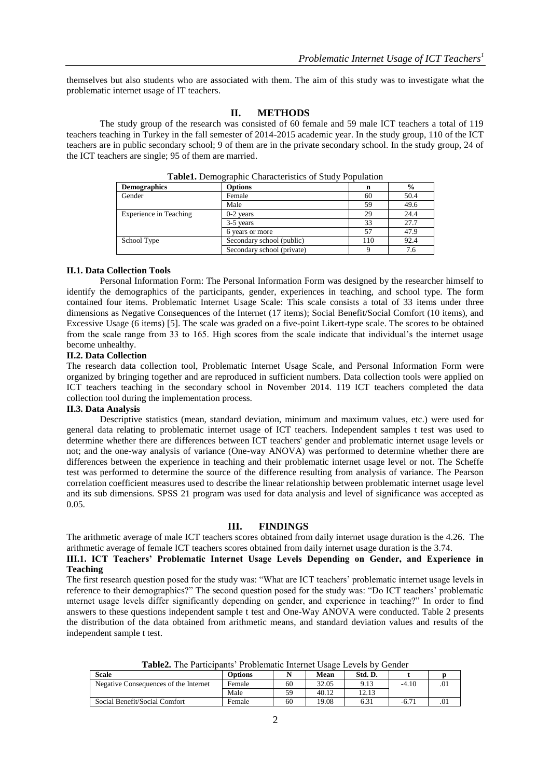themselves but also students who are associated with them. The aim of this study was to investigate what the problematic internet usage of IT teachers.

## **II. METHODS**

The study group of the research was consisted of 60 female and 59 male ICT teachers a total of 119 teachers teaching in Turkey in the fall semester of 2014-2015 academic year. In the study group, 110 of the ICT teachers are in public secondary school; 9 of them are in the private secondary school. In the study group, 24 of the ICT teachers are single; 95 of them are married.

| <b>Demographics</b>    | <b>Options</b>             | n   | $\frac{0}{0}$ |
|------------------------|----------------------------|-----|---------------|
| Gender                 | Female                     | 60  | 50.4          |
|                        | Male                       | 59  | 49.6          |
| Experience in Teaching | $0-2$ years                | 29  | 24.4          |
|                        | 3-5 years                  | 33  | 27.7          |
|                        | 6 years or more            | 57  | 47.9          |
| School Type            | Secondary school (public)  | 110 | 92.4          |
|                        | Secondary school (private) |     | 7.6           |

**Table1.** Demographic Characteristics of Study Population

#### **II.1. Data Collection Tools**

Personal Information Form: The Personal Information Form was designed by the researcher himself to identify the demographics of the participants, gender, experiences in teaching, and school type. The form contained four items. Problematic Internet Usage Scale: This scale consists a total of 33 items under three dimensions as Negative Consequences of the Internet (17 items); Social Benefit/Social Comfort (10 items), and Excessive Usage (6 items) [5]. The scale was graded on a five-point Likert-type scale. The scores to be obtained from the scale range from 33 to 165. High scores from the scale indicate that individual's the internet usage become unhealthy.

## **II.2. Data Collection**

The research data collection tool, Problematic Internet Usage Scale, and Personal Information Form were organized by bringing together and are reproduced in sufficient numbers. Data collection tools were applied on ICT teachers teaching in the secondary school in November 2014. 119 ICT teachers completed the data collection tool during the implementation process.

#### **II.3. Data Analysis**

Descriptive statistics (mean, standard deviation, minimum and maximum values, etc.) were used for general data relating to problematic internet usage of ICT teachers. Independent samples t test was used to determine whether there are differences between ICT teachers' gender and problematic internet usage levels or not; and the one-way analysis of variance (One-way ANOVA) was performed to determine whether there are differences between the experience in teaching and their problematic internet usage level or not. The Scheffe test was performed to determine the source of the difference resulting from analysis of variance. The Pearson correlation coefficient measures used to describe the linear relationship between problematic internet usage level and its sub dimensions. SPSS 21 program was used for data analysis and level of significance was accepted as 0.05.

#### **III. FINDINGS**

The arithmetic average of male ICT teachers scores obtained from daily internet usage duration is the 4.26. The arithmetic average of female ICT teachers scores obtained from daily internet usage duration is the 3.74.

**III.1. ICT Teachers' Problematic Internet Usage Levels Depending on Gender, and Experience in Teaching**

The first research question posed for the study was: "What are ICT teachers' problematic internet usage levels in reference to their demographics?" The second question posed for the study was: "Do ICT teachers' problematic ınternet usage levels differ significantly depending on gender, and experience in teaching?" In order to find answers to these questions independent sample t test and One-Way ANOVA were conducted. Table 2 presents the distribution of the data obtained from arithmetic means, and standard deviation values and results of the independent sample t test.

**Table2.** The Participants' Problematic Internet Usage Levels by Gender

| <b>Scale</b>                          | <b>Options</b> |    | Mean  | Std. D. |                |     |
|---------------------------------------|----------------|----|-------|---------|----------------|-----|
| Negative Consequences of the Internet | Female         | 60 | 32.05 | 9.13    | $-4.10$        | .01 |
|                                       | Male           | 59 | 40.12 | 12.13   |                |     |
| Social Benefit/Social Comfort         | Female         | 60 | 19.08 | 6.31    | $-6.7^{\circ}$ | .01 |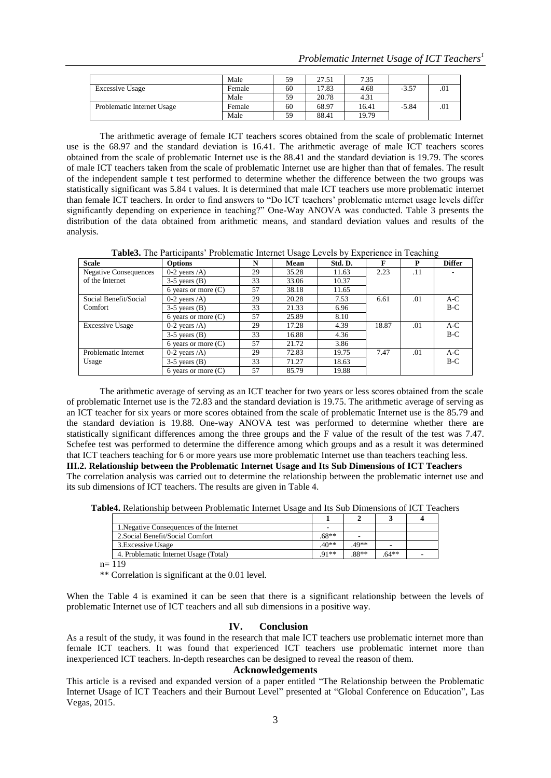|                            | Male   | 59 | 27.51 | 7.35  |         |     |
|----------------------------|--------|----|-------|-------|---------|-----|
| <b>Excessive Usage</b>     | Female | 60 | 17.83 | 4.68  | $-3.57$ | .01 |
|                            | Male   | 59 | 20.78 | 4.31  |         |     |
| Problematic Internet Usage | Female | 60 | 68.97 | 16.41 | $-5.84$ | .01 |
|                            | Male   | 59 | 88.41 | 19.79 |         |     |

The arithmetic average of female ICT teachers scores obtained from the scale of problematic Internet use is the 68.97 and the standard deviation is 16.41. The arithmetic average of male ICT teachers scores obtained from the scale of problematic Internet use is the 88.41 and the standard deviation is 19.79. The scores of male ICT teachers taken from the scale of problematic Internet use are higher than that of females. The result of the independent sample t test performed to determine whether the difference between the two groups was statistically significant was 5.84 t values. It is determined that male ICT teachers use more problematic internet than female ICT teachers. In order to find answers to "Do ICT teachers' problematic ınternet usage levels differ significantly depending on experience in teaching?" One-Way ANOVA was conducted. Table 3 presents the distribution of the data obtained from arithmetic means, and standard deviation values and results of the analysis.

**Table3.** The Participants' Problematic Internet Usage Levels by Experience in Teaching

| <b>Scale</b>                 | <b>Options</b>               | N  | Mean  | Std. D. | F     | P   | <b>Differ</b> |
|------------------------------|------------------------------|----|-------|---------|-------|-----|---------------|
| <b>Negative Consequences</b> | $0-2$ years $\overline{A}$ ) | 29 | 35.28 | 11.63   | 2.23  | .11 |               |
| of the Internet              | $3-5$ years $(B)$            | 33 | 33.06 | 10.37   |       |     |               |
|                              | 6 years or more $(C)$        | 57 | 38.18 | 11.65   |       |     |               |
| Social Benefit/Social        | $0-2$ years $\overline{A}$ ) | 29 | 20.28 | 7.53    | 6.61  | .01 | $A-C$         |
| Comfort                      | $3-5$ years $(B)$            | 33 | 21.33 | 6.96    |       |     | $B-C$         |
|                              | 6 years or more $(C)$        | 57 | 25.89 | 8.10    |       |     |               |
| <b>Excessive Usage</b>       | 0-2 years $\overline{A}$ )   | 29 | 17.28 | 4.39    | 18.87 | .01 | $A-C$         |
|                              | $3-5$ years $(B)$            | 33 | 16.88 | 4.36    |       |     | $B-C$         |
|                              | 6 years or more $(C)$        | 57 | 21.72 | 3.86    |       |     |               |
| Problematic Internet         | $0-2$ years $\overline{A}$ ) | 29 | 72.83 | 19.75   | 7.47  | .01 | $A-C$         |
| Usage                        | $3-5$ years $(B)$            | 33 | 71.27 | 18.63   |       |     | $B-C$         |
|                              | 6 years or more $(C)$        | 57 | 85.79 | 19.88   |       |     |               |

The arithmetic average of serving as an ICT teacher for two years or less scores obtained from the scale of problematic Internet use is the 72.83 and the standard deviation is 19.75. The arithmetic average of serving as an ICT teacher for six years or more scores obtained from the scale of problematic Internet use is the 85.79 and the standard deviation is 19.88. One-way ANOVA test was performed to determine whether there are statistically significant differences among the three groups and the F value of the result of the test was 7.47. Schefee test was performed to determine the difference among which groups and as a result it was determined that ICT teachers teaching for 6 or more years use more problematic Internet use than teachers teaching less. **III.2. Relationship between the Problematic Internet Usage and Its Sub Dimensions of ICT Teachers** The correlation analysis was carried out to determine the relationship between the problematic internet use and its sub dimensions of ICT teachers. The results are given in Table 4.

**Table4.** Relationship between Problematic Internet Usage and Its Sub Dimensions of ICT Teachers

| 1. Negative Consequences of the Internet |         |       |        |  |
|------------------------------------------|---------|-------|--------|--|
| 2. Social Benefit/Social Comfort         | $.68**$ |       |        |  |
| 3. Excessive Usage                       | $.40**$ | .49** |        |  |
| 4. Problematic Internet Usage (Total)    | $Q1**$  | 88**  | $64**$ |  |

 $n= 119$ 

\*\* Correlation is significant at the 0.01 level.

When the Table 4 is examined it can be seen that there is a significant relationship between the levels of problematic Internet use of ICT teachers and all sub dimensions in a positive way.

# **IV. Conclusion**

As a result of the study, it was found in the research that male ICT teachers use problematic internet more than female ICT teachers. It was found that experienced ICT teachers use problematic internet more than inexperienced ICT teachers. In-depth researches can be designed to reveal the reason of them.

#### **Acknowledgements**

This article is a revised and expanded version of a paper entitled "The Relationship between the Problematic Internet Usage of ICT Teachers and their Burnout Level" presented at "Global Conference on Education", Las Vegas, 2015.